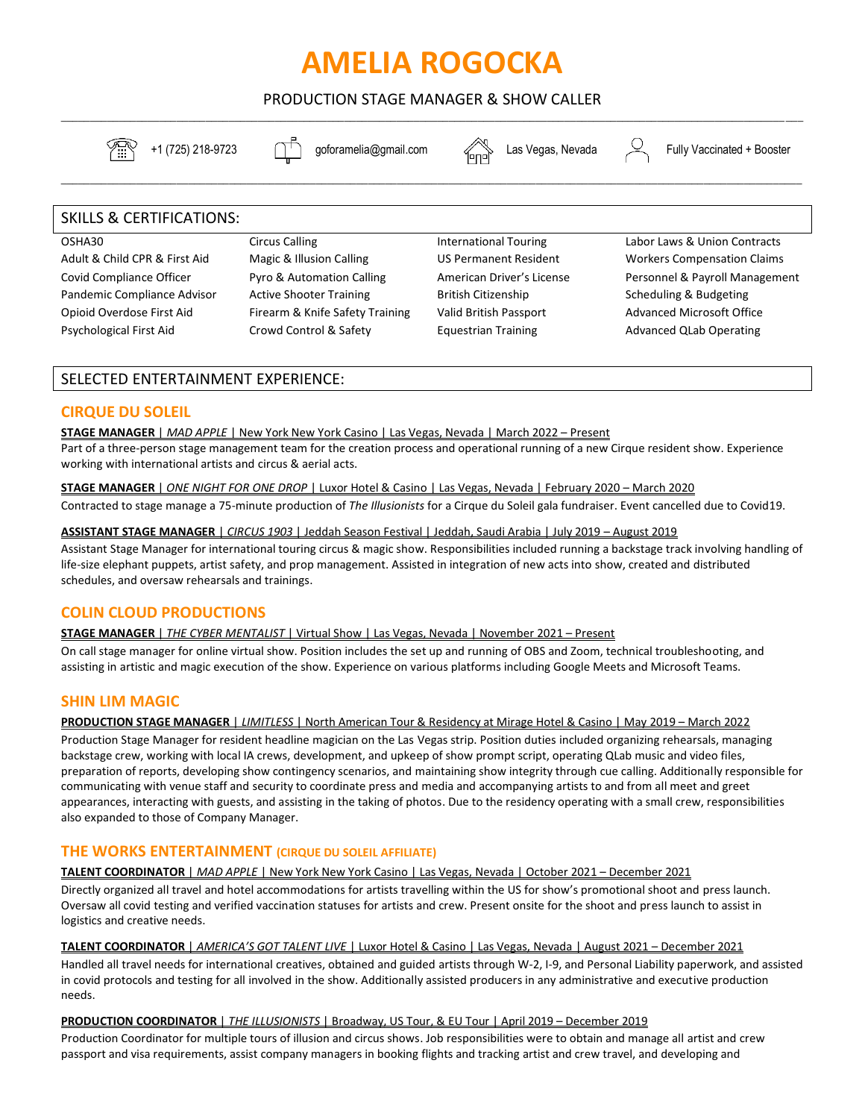# **AMELIA ROGOCKA**

PRODUCTION STAGE MANAGER & SHOW CALLER \_\_\_\_\_\_\_\_\_\_\_\_\_\_\_\_\_\_\_\_\_\_\_\_\_\_\_\_\_\_\_\_\_\_\_\_\_\_\_\_\_\_\_\_\_\_\_\_\_\_\_\_\_\_\_\_\_\_\_\_\_\_\_\_\_\_\_\_\_\_\_\_\_\_\_\_\_\_\_\_\_\_\_\_\_\_\_\_\_\_\_\_\_\_\_\_\_\_\_\_\_\_\_\_\_\_\_\_\_\_\_\_\_\_\_\_\_\_\_\_\_\_\_\_\_\_\_\_

\_\_\_\_\_\_\_\_\_\_\_\_\_\_\_\_\_\_\_\_\_\_\_\_\_\_\_\_\_\_\_\_\_\_\_\_\_\_\_\_\_\_\_\_\_\_\_\_\_\_\_\_\_\_\_\_\_\_\_\_\_\_\_\_\_\_\_\_\_\_\_\_\_\_\_\_\_\_\_\_\_\_\_\_\_\_\_\_\_\_\_\_\_\_\_\_\_\_\_\_\_\_\_\_\_\_\_\_\_\_\_\_\_\_\_\_\_\_\_\_\_\_\_\_\_\_\_\_



 $\sqrt{\frac{1}{11}}$  +1 (725) 218-9723  $\Box$  goforamelia@gmail.com  $\angle$  Las Vegas, Nevada  $\Box$  Fully Vaccinated + Booster

# SKILLS & CERTIFICATIONS:

#### OSHA30

Adult & Child CPR & First Aid Covid Compliance Officer Pandemic Compliance Advisor Opioid Overdose First Aid Psychological First Aid

Circus Calling Magic & Illusion Calling Pyro & Automation Calling Active Shooter Training Firearm & Knife Safety Training Crowd Control & Safety

International Touring US Permanent Resident American Driver's License British Citizenship Valid British Passport Equestrian Training

Labor Laws & Union Contracts Workers Compensation Claims Personnel & Payroll Management Scheduling & Budgeting Advanced Microsoft Office Advanced QLab Operating

# SELECTED ENTERTAINMENT EXPERIENCE:

# **CIRQUE DU SOLEIL**

# **STAGE MANAGER** | *MAD APPLE* | New York New York Casino | Las Vegas, Nevada | March 2022 – Present

Part of a three-person stage management team for the creation process and operational running of a new Cirque resident show. Experience working with international artists and circus & aerial acts.

**STAGE MANAGER** | *ONE NIGHT FOR ONE DROP* | Luxor Hotel & Casino | Las Vegas, Nevada | February 2020 – March 2020

Contracted to stage manage a 75-minute production of *The Illusionists* for a Cirque du Soleil gala fundraiser. Event cancelled due to Covid19.

#### **ASSISTANT STAGE MANAGER** | *CIRCUS 1903* | Jeddah Season Festival | Jeddah, Saudi Arabia | July 2019 – August 2019

Assistant Stage Manager for international touring circus & magic show. Responsibilities included running a backstage track involving handling of life-size elephant puppets, artist safety, and prop management. Assisted in integration of new acts into show, created and distributed schedules, and oversaw rehearsals and trainings.

# **COLIN CLOUD PRODUCTIONS**

# **STAGE MANAGER** | *THE CYBER MENTALIST* | Virtual Show | Las Vegas, Nevada | November 2021 – Present

On call stage manager for online virtual show. Position includes the set up and running of OBS and Zoom, technical troubleshooting, and assisting in artistic and magic execution of the show. Experience on various platforms including Google Meets and Microsoft Teams.

# **SHIN LIM MAGIC**

# **PRODUCTION STAGE MANAGER** | *LIMITLESS* | North American Tour & Residency at Mirage Hotel & Casino | May 2019 – March 2022

Production Stage Manager for resident headline magician on the Las Vegas strip. Position duties included organizing rehearsals, managing backstage crew, working with local IA crews, development, and upkeep of show prompt script, operating QLab music and video files, preparation of reports, developing show contingency scenarios, and maintaining show integrity through cue calling. Additionally responsible for communicating with venue staff and security to coordinate press and media and accompanying artists to and from all meet and greet appearances, interacting with guests, and assisting in the taking of photos. Due to the residency operating with a small crew, responsibilities also expanded to those of Company Manager.

# **THE WORKS ENTERTAINMENT (CIRQUE DU SOLEIL AFFILIATE)**

# **TALENT COORDINATOR** | *MAD APPLE* | New York New York Casino | Las Vegas, Nevada | October 2021 – December 2021

Directly organized all travel and hotel accommodations for artists travelling within the US for show's promotional shoot and press launch. Oversaw all covid testing and verified vaccination statuses for artists and crew. Present onsite for the shoot and press launch to assist in logistics and creative needs.

# **TALENT COORDINATOR** | *AMERICA'S GOT TALENT LIVE* | Luxor Hotel & Casino | Las Vegas, Nevada | August 2021 – December 2021

Handled all travel needs for international creatives, obtained and guided artists through W-2, I-9, and Personal Liability paperwork, and assisted in covid protocols and testing for all involved in the show. Additionally assisted producers in any administrative and executive production needs.

# **PRODUCTION COORDINATOR** | *THE ILLUSIONISTS* | Broadway, US Tour, & EU Tour | April 2019 – December 2019

Production Coordinator for multiple tours of illusion and circus shows. Job responsibilities were to obtain and manage all artist and crew passport and visa requirements, assist company managers in booking flights and tracking artist and crew travel, and developing and